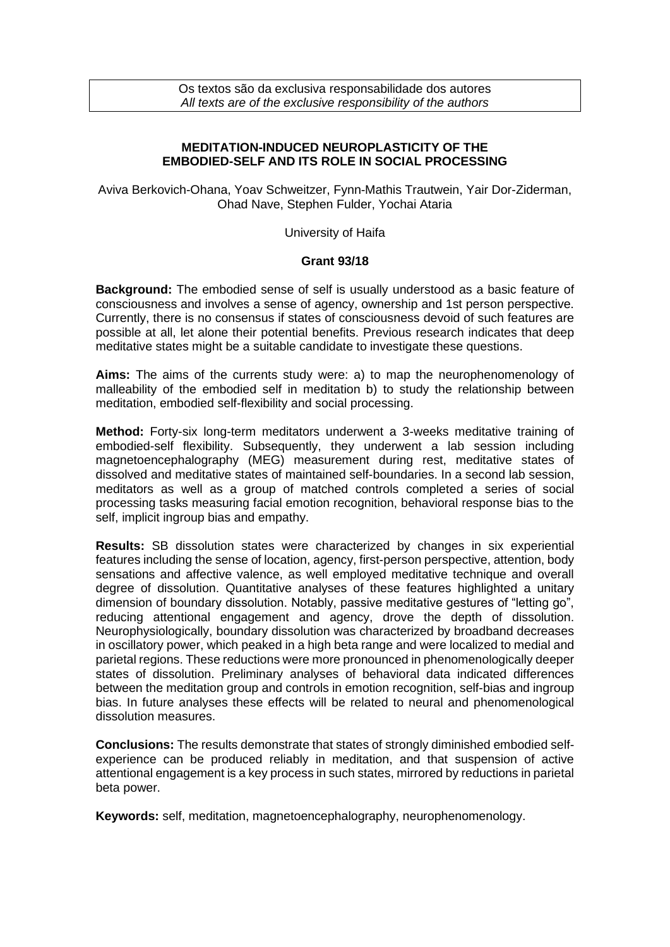Os textos são da exclusiva responsabilidade dos autores *All texts are of the exclusive responsibility of the authors*

## **MEDITATION-INDUCED NEUROPLASTICITY OF THE EMBODIED-SELF AND ITS ROLE IN SOCIAL PROCESSING**

Aviva Berkovich-Ohana, Yoav Schweitzer, Fynn-Mathis Trautwein, Yair Dor-Ziderman, Ohad Nave, Stephen Fulder, Yochai Ataria

University of Haifa

## **Grant 93/18**

**Background:** The embodied sense of self is usually understood as a basic feature of consciousness and involves a sense of agency, ownership and 1st person perspective. Currently, there is no consensus if states of consciousness devoid of such features are possible at all, let alone their potential benefits. Previous research indicates that deep meditative states might be a suitable candidate to investigate these questions.

**Aims:** The aims of the currents study were: a) to map the neurophenomenology of malleability of the embodied self in meditation b) to study the relationship between meditation, embodied self-flexibility and social processing.

**Method:** Forty-six long-term meditators underwent a 3-weeks meditative training of embodied-self flexibility. Subsequently, they underwent a lab session including magnetoencephalography (MEG) measurement during rest, meditative states of dissolved and meditative states of maintained self-boundaries. In a second lab session, meditators as well as a group of matched controls completed a series of social processing tasks measuring facial emotion recognition, behavioral response bias to the self, implicit ingroup bias and empathy.

**Results:** SB dissolution states were characterized by changes in six experiential features including the sense of location, agency, first-person perspective, attention, body sensations and affective valence, as well employed meditative technique and overall degree of dissolution. Quantitative analyses of these features highlighted a unitary dimension of boundary dissolution. Notably, passive meditative gestures of "letting go", reducing attentional engagement and agency, drove the depth of dissolution. Neurophysiologically, boundary dissolution was characterized by broadband decreases in oscillatory power, which peaked in a high beta range and were localized to medial and parietal regions. These reductions were more pronounced in phenomenologically deeper states of dissolution. Preliminary analyses of behavioral data indicated differences between the meditation group and controls in emotion recognition, self-bias and ingroup bias. In future analyses these effects will be related to neural and phenomenological dissolution measures.

**Conclusions:** The results demonstrate that states of strongly diminished embodied selfexperience can be produced reliably in meditation, and that suspension of active attentional engagement is a key process in such states, mirrored by reductions in parietal beta power.

**Keywords:** self, meditation, magnetoencephalography, neurophenomenology.